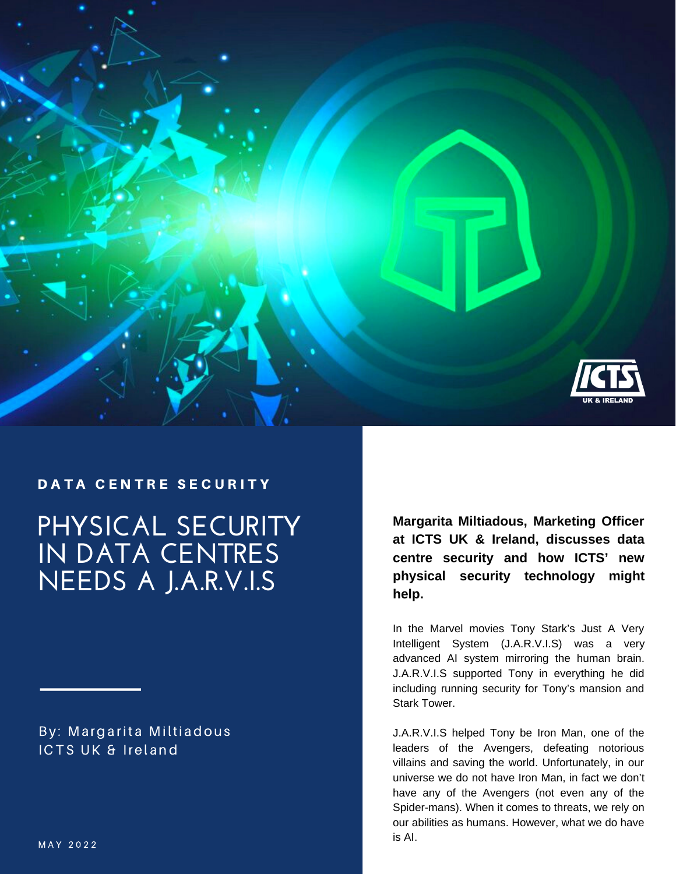

# **PHYSICAL SECURITY** DATA CENTRE SECURITY

**IN DATA CENTRES NEEDS A J.A.R.V.I.S**

By: Margarita Miltiadous ICTS UK & Ireland

**Margarita Miltiadous, Marketing Officer at ICTS UK & Ireland, discusses data centre security and how ICTS' new physical security technology might help.**

In the Marvel movies Tony Stark's Just A Very Intelligent System (J.A.R.V.I.S) was a very advanced AI system mirroring the human brain. J.A.R.V.I.S supported Tony in everything he did including running security for Tony's mansion and Stark Tower.

J.A.R.V.I.S helped Tony be Iron Man, one of the leaders of the Avengers, defeating notorious villains and saving the world. Unfortunately, in our universe we do not have Iron Man, in fact we don't have any of the Avengers (not even any of the Spider-mans). When it comes to threats, we rely on our abilities as humans. However, what we do have is AI.  $M A Y 2022$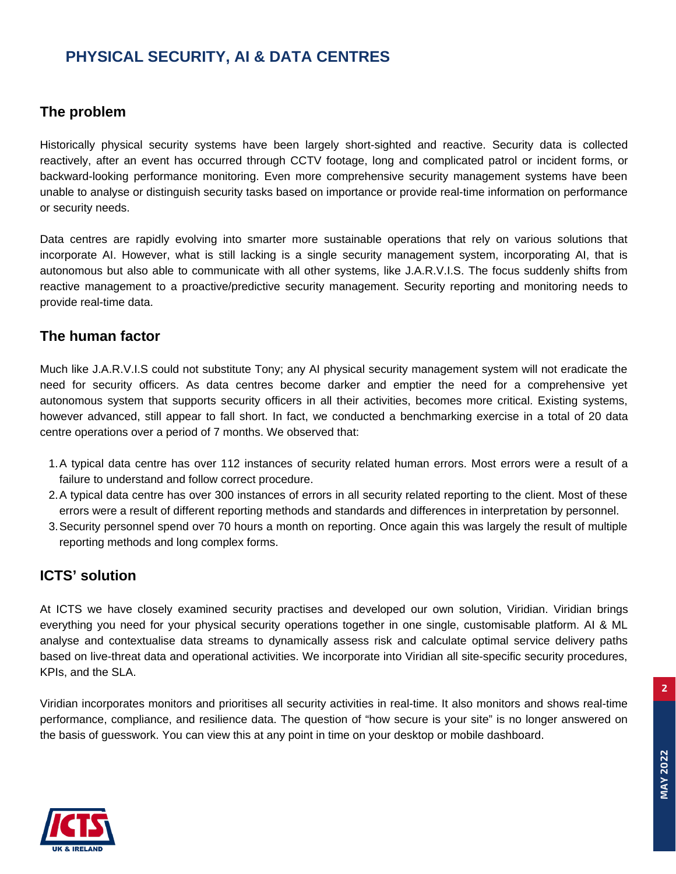## **PHYSICAL SECURITY, AI & DATA CENTRES**

#### **The problem**

Historically physical security systems have been largely short-sighted and reactive. Security data is collected reactively, after an event has occurred through CCTV footage, long and complicated patrol or incident forms, or backward-looking performance monitoring. Even more comprehensive security management systems have been unable to analyse or distinguish security tasks based on importance or provide real-time information on performance or security needs.

Data centres are rapidly evolving into smarter more sustainable operations that rely on various solutions that incorporate AI. However, what is still lacking is a single security management system, incorporating AI, that is autonomous but also able to communicate with all other systems, like J.A.R.V.I.S. The focus suddenly shifts from reactive management to a proactive/predictive security management. Security reporting and monitoring needs to provide real-time data.

#### **The human factor**

Much like J.A.R.V.I.S could not substitute Tony; any AI physical security management system will not eradicate the need for security officers. As data centres become darker and emptier the need for a comprehensive yet autonomous system that supports security officers in all their activities, becomes more critical. Existing systems, however advanced, still appear to fall short. In fact, we conducted a benchmarking exercise in a total of 20 data centre operations over a period of 7 months. We observed that:

- A typical data centre has over 112 instances of security related human errors. Most errors were a result of a 1. failure to understand and follow correct procedure.
- A typical data centre has over 300 instances of errors in all security related reporting to the client. Most of these 2. errors were a result of different reporting methods and standards and differences in interpretation by personnel.
- Security personnel spend over 70 hours a month on reporting. Once again this was largely the result of multiple 3. reporting methods and long complex forms.

#### **ICTS' solution**

At ICTS we have closely examined security practises and developed our own solution, Viridian. Viridian brings everything you need for your physical security operations together in one single, customisable platform. AI & ML analyse and contextualise data streams to dynamically assess risk and calculate optimal service delivery paths based on live-threat data and operational activities. We incorporate into Viridian all site-specific security procedures, KPIs, and the SLA.

Viridian incorporates monitors and prioritises all security activities in real-time. It also monitors and shows real-time performance, compliance, and resilience data. The question of "how secure is your site" is no longer answered on the basis of guesswork. You can view this at any point in time on your desktop or mobile dashboard.



**2**

**MAY 2022**